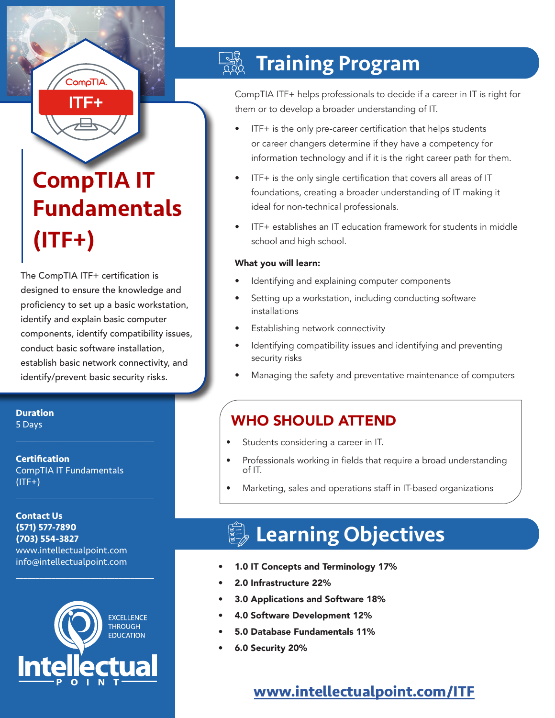# CompTIA IT Fundamentals (ITF+)

ComoTI/

mea

The CompTIA ITF+ certification is designed to ensure the knowledge and proficiency to set up a basic workstation, identify and explain basic computer components, identify compatibility issues, conduct basic software installation, establish basic network connectivity, and identify/prevent basic security risks.

**Duration** 5 Days

**Certification** CompTIA IT Fundamentals  $($ ITF+ $)$ 

 $\mathcal{L}_\text{max}$  and  $\mathcal{L}_\text{max}$  and  $\mathcal{L}_\text{max}$  and  $\mathcal{L}_\text{max}$ 

 $\mathcal{L}_\text{max}$  and  $\mathcal{L}_\text{max}$  and  $\mathcal{L}_\text{max}$  and  $\mathcal{L}_\text{max}$ 

**Contact Us (571) 577-7890 (703) 554-3827** www.intellectualpoint.com info@intellectualpoint.com



 $\mathcal{L}_\text{max}$  , and the set of the set of the set of the set of the set of the set of the set of the set of the set of the set of the set of the set of the set of the set of the set of the set of the set of the set of the

#### $\frac{1}{2}$ Training Program

CompTIA ITF+ helps professionals to decide if a career in IT is right for them or to develop a broader understanding of IT.

- ITF+ is the only pre-career certification that helps students or career changers determine if they have a competency for information technology and if it is the right career path for them.
- ITF+ is the only single certification that covers all areas of IT foundations, creating a broader understanding of IT making it ideal for non-technical professionals.
- ITF+ establishes an IT education framework for students in middle school and high school.

#### What you will learn:

- Identifying and explaining computer components
- Setting up a workstation, including conducting software installations
- Establishing network connectivity
- Identifying compatibility issues and identifying and preventing security risks
- Managing the safety and preventative maintenance of computers

## WHO SHOULD ATTEND

- Students considering a career in IT.
- Professionals working in fields that require a broad understanding of IT.
- Marketing, sales and operations staff in IT-based organizations

## Learning Objectives

- 1.0 IT Concepts and Terminology 17%
- 2.0 Infrastructure 22%
- 3.0 Applications and Software 18%
- 4.0 Software Development 12%
- 5.0 Database Fundamentals 11%
- 6.0 Security 20%

## **[www.intellectualpoint.com/](https://www.intellectualpoint.com/product/comptia-itf)ITF**